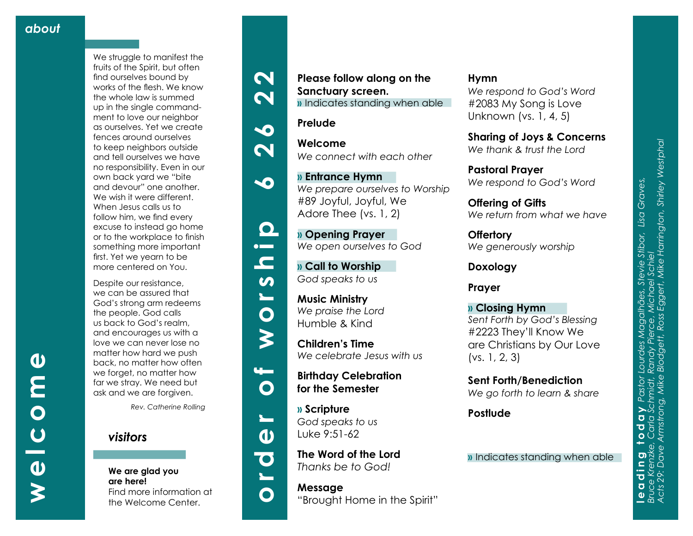**welcome**

 $\overline{C}$ 

 $\boldsymbol{\omega}$ 

 $\overline{\mathbf{O}}$ 

 $\boldsymbol{\omega}$ 

E

We struggle to manifest the fruits of the Spirit, but often find ourselves bound by works of the flesh. We know the whole law is summed up in the single command ment to love our neighbor as ourselves. Yet we create fences around ourselves to keep neighbors outside and tell ourselves we have no responsibility. Even in our own back yard we "bite and devour" one another. We wish it were different. When Jesus calls us to follow him, we find every excuse to instead go home or to the workplace to finish something more important first. Yet we yearn to be more centered on You.

Despite our resistance, we can be assured that God's strong arm redeems the people. God calls us back to God's realm, and encourages us with a love we can never lose no matter how hard we push back, no matter how often we forget, no matter how far we stray. We need but ask and we are forgiven.

*Rev. Catherine Rolling*

## *visitors*

**We are glad you are here!** Find more information at the Welcome Center.



















# $\mathbf{d}$



## **Please follow along on the Sanctuary screen. »** Indicates standing when able

*We prepare ourselves to Worship*

#### **Prelude**

**» Entrance Hymn** 

**» Call to Worship**  *God speaks to us*

#89 Joyful, Joyful, We

**Welcome** *We connect with each other* 

Adore Thee (vs. 1, 2) **» Opening Prayer**  *We open ourselves to God*





**Music Ministry**  *We praise the Lord*  Humble & Kind

**Children's Time**  *We celebrate Jesus with us*

**Birthday Celebration for the Semester** 

**» Scripture** *God speaks to us* Luke 9:51-62

**The Word of the Lord**  *Thanks be to God!*

**Message** "Brought Home in the Spirit"

#### **Hymn**

*We respond to God's Word* #2083 My Song is Love Unknown (vs. 1, 4, 5)

**Sharing of Joys & Concerns** *We thank & trust the Lord*

**Pastoral Prayer** *We respond to God's Word*

**Offering of Gifts**  *We return from what we have*

**Offertory** *We generously worship*

**Doxology**

**Prayer**

**» Closing Hymn** *Sent Forth by God's Blessing* #2223 They'll Know We are Christians by Our Love (vs. 1, 2, 3)

**Sent Forth/Benediction** *We go forth to learn & share*

**Postlude**

**»** Indicates standing when able